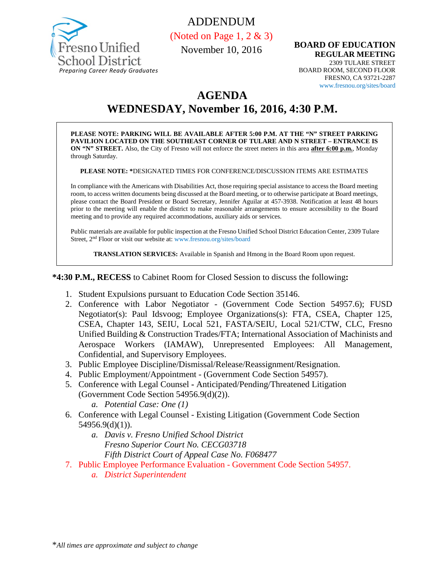

ADDENDUM

(Noted on Page 1, 2 & 3)

November 10, 2016

**BOARD OF EDUCATION REGULAR MEETING** 2309 TULARE STREET BOARD ROOM, SECOND FLOOR FRESNO, CA 93721-2287 www.fresnou.org/sites/board

## **AGENDA**

# **WEDNESDAY, November 16, 2016, 4:30 P.M.**

**PLEASE NOTE: PARKING WILL BE AVAILABLE AFTER 5:00 P.M. AT THE "N" STREET PARKING PAVILION LOCATED ON THE SOUTHEAST CORNER OF TULARE AND N STREET – ENTRANCE IS ON "N" STREET.** Also, the City of Fresno will not enforce the street meters in this area **after 6:00 p.m.**, Monday through Saturday.

**PLEASE NOTE: \***DESIGNATED TIMES FOR CONFERENCE/DISCUSSION ITEMS ARE ESTIMATES

In compliance with the Americans with Disabilities Act, those requiring special assistance to access the Board meeting room, to access written documents being discussed at the Board meeting, or to otherwise participate at Board meetings, please contact the Board President or Board Secretary, Jennifer Aguilar at 457-3938. Notification at least 48 hours prior to the meeting will enable the district to make reasonable arrangements to ensure accessibility to the Board meeting and to provide any required accommodations, auxiliary aids or services.

Public materials are available for public inspection at the Fresno Unified School District Education Center, 2309 Tulare Street, 2nd Floor or visit our website at: www.fresnou.org/sites/board

**TRANSLATION SERVICES:** Available in Spanish and Hmong in the Board Room upon request.

**\*4:30 P.M., RECESS** to Cabinet Room for Closed Session to discuss the following**:**

- 1. Student Expulsions pursuant to Education Code Section 35146.
- 2. Conference with Labor Negotiator (Government Code Section 54957.6); FUSD Negotiator(s): Paul Idsvoog; Employee Organizations(s): FTA, CSEA, Chapter 125, CSEA, Chapter 143, SEIU, Local 521, FASTA/SEIU, Local 521/CTW, CLC, Fresno Unified Building & Construction Trades/FTA; International Association of Machinists and Aerospace Workers (IAMAW), Unrepresented Employees: All Management, Confidential, and Supervisory Employees.
- 3. Public Employee Discipline/Dismissal/Release/Reassignment/Resignation.
- 4. Public Employment/Appointment (Government Code Section 54957).
- 5. Conference with Legal Counsel **-** Anticipated/Pending/Threatened Litigation (Government Code Section 54956.9(d)(2)).
	- *a. Potential Case: One (1)*
- 6. Conference with Legal Counsel Existing Litigation (Government Code Section 54956.9(d)(1)).
	- *a. Davis v. Fresno Unified School District Fresno Superior Court No. CECG03718 Fifth District Court of Appeal Case No. F068477*
- 7. Public Employee Performance Evaluation Government Code Section 54957.
	- *a. District Superintendent*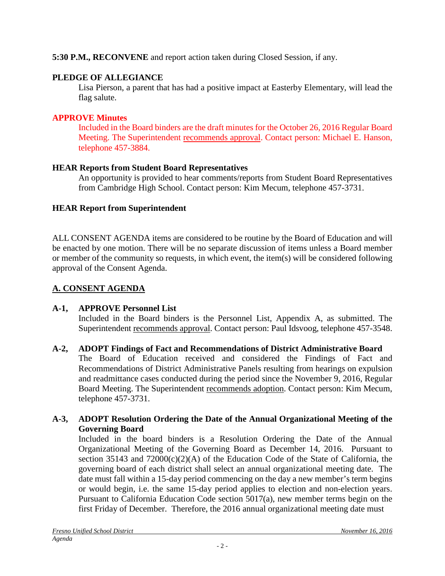## **5:30 P.M., RECONVENE** and report action taken during Closed Session, if any.

## **PLEDGE OF ALLEGIANCE**

Lisa Pierson, a parent that has had a positive impact at Easterby Elementary, will lead the flag salute.

## **APPROVE Minutes**

Included in the Board binders are the draft minutes for the October 26, 2016 Regular Board Meeting. The Superintendent recommends approval. Contact person: Michael E. Hanson, telephone 457-3884.

## **HEAR Reports from Student Board Representatives**

An opportunity is provided to hear comments/reports from Student Board Representatives from Cambridge High School. Contact person: Kim Mecum, telephone 457-3731.

## **HEAR Report from Superintendent**

ALL CONSENT AGENDA items are considered to be routine by the Board of Education and will be enacted by one motion. There will be no separate discussion of items unless a Board member or member of the community so requests, in which event, the item(s) will be considered following approval of the Consent Agenda.

## **A. CONSENT AGENDA**

## **A-1, APPROVE Personnel List**

Included in the Board binders is the Personnel List, Appendix A, as submitted. The Superintendent recommends approval. Contact person: Paul Idsvoog, telephone 457-3548.

## **A-2, ADOPT Findings of Fact and Recommendations of District Administrative Board**

The Board of Education received and considered the Findings of Fact and Recommendations of District Administrative Panels resulting from hearings on expulsion and readmittance cases conducted during the period since the November 9, 2016, Regular Board Meeting. The Superintendent recommends adoption. Contact person: Kim Mecum, telephone 457-3731.

## **A-3, ADOPT Resolution Ordering the Date of the Annual Organizational Meeting of the Governing Board**

Included in the board binders is a Resolution Ordering the Date of the Annual Organizational Meeting of the Governing Board as December 14, 2016. Pursuant to section  $35143$  and  $72000(c)(2)(A)$  of the Education Code of the State of California, the governing board of each district shall select an annual organizational meeting date. The date must fall within a 15-day period commencing on the day a new member's term begins or would begin, i.e. the same 15-day period applies to election and non-election years. Pursuant to California Education Code section 5017(a), new member terms begin on the first Friday of December. Therefore, the 2016 annual organizational meeting date must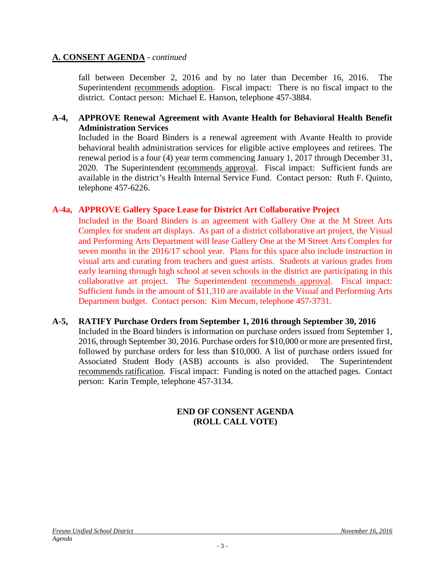#### **A. CONSENT AGENDA** - *continued*

fall between December 2, 2016 and by no later than December 16, 2016. The Superintendent recommends adoption. Fiscal impact: There is no fiscal impact to the district. Contact person: Michael E. Hanson, telephone 457-3884.

#### **A-4, APPROVE Renewal Agreement with Avante Health for Behavioral Health Benefit Administration Services**

Included in the Board Binders is a renewal agreement with Avante Health to provide behavioral health administration services for eligible active employees and retirees. The renewal period is a four (4) year term commencing January 1, 2017 through December 31, 2020. The Superintendent recommends approval. Fiscal impact: Sufficient funds are available in the district's Health Internal Service Fund. Contact person: Ruth F. Quinto, telephone 457-6226.

#### **A-4a, APPROVE Gallery Space Lease for District Art Collaborative Project**

Included in the Board Binders is an agreement with Gallery One at the M Street Arts Complex for student art displays. As part of a district collaborative art project, the Visual and Performing Arts Department will lease Gallery One at the M Street Arts Complex for seven months in the 2016/17 school year. Plans for this space also include instruction in visual arts and curating from teachers and guest artists. Students at various grades from early learning through high school at seven schools in the district are participating in this collaborative art project. The Superintendent recommends approval. Fiscal impact: Sufficient funds in the amount of \$11,310 are available in the Visual and Performing Arts Department budget. Contact person: Kim Mecum, telephone 457-3731.

#### **A-5, RATIFY Purchase Orders from September 1, 2016 through September 30, 2016**

Included in the Board binders is information on purchase orders issued from September 1, 2016, through September 30, 2016. Purchase orders for \$10,000 or more are presented first, followed by purchase orders for less than \$10,000. A list of purchase orders issued for Associated Student Body (ASB) accounts is also provided. The Superintendent recommends ratification. Fiscal impact: Funding is noted on the attached pages. Contact person: Karin Temple, telephone 457-3134.

#### **END OF CONSENT AGENDA (ROLL CALL VOTE)**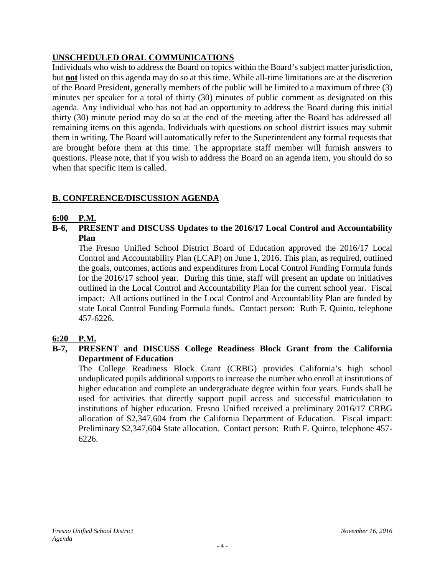## **UNSCHEDULED ORAL COMMUNICATIONS**

Individuals who wish to address the Board on topics within the Board's subject matter jurisdiction, but **not** listed on this agenda may do so at this time. While all-time limitations are at the discretion of the Board President, generally members of the public will be limited to a maximum of three (3) minutes per speaker for a total of thirty (30) minutes of public comment as designated on this agenda. Any individual who has not had an opportunity to address the Board during this initial thirty (30) minute period may do so at the end of the meeting after the Board has addressed all remaining items on this agenda. Individuals with questions on school district issues may submit them in writing. The Board will automatically refer to the Superintendent any formal requests that are brought before them at this time. The appropriate staff member will furnish answers to questions. Please note, that if you wish to address the Board on an agenda item, you should do so when that specific item is called.

## **B. CONFERENCE/DISCUSSION AGENDA**

#### **6:00 P.M.**

**B-6, PRESENT and DISCUSS Updates to the 2016/17 Local Control and Accountability Plan**

The Fresno Unified School District Board of Education approved the 2016/17 Local Control and Accountability Plan (LCAP) on June 1, 2016. This plan, as required, outlined the goals, outcomes, actions and expenditures from Local Control Funding Formula funds for the 2016/17 school year. During this time, staff will present an update on initiatives outlined in the Local Control and Accountability Plan for the current school year. Fiscal impact: All actions outlined in the Local Control and Accountability Plan are funded by state Local Control Funding Formula funds. Contact person: Ruth F. Quinto, telephone 457-6226.

## **6:20 P.M.**

**B-7, PRESENT and DISCUSS College Readiness Block Grant from the California Department of Education**

The College Readiness Block Grant (CRBG) provides California's high school unduplicated pupils additional supports to increase the number who enroll at institutions of higher education and complete an undergraduate degree within four years. Funds shall be used for activities that directly support pupil access and successful matriculation to institutions of higher education. Fresno Unified received a preliminary 2016/17 CRBG allocation of \$2,347,604 from the California Department of Education. Fiscal impact: Preliminary \$2,347,604 State allocation. Contact person: Ruth F. Quinto, telephone 457- 6226.